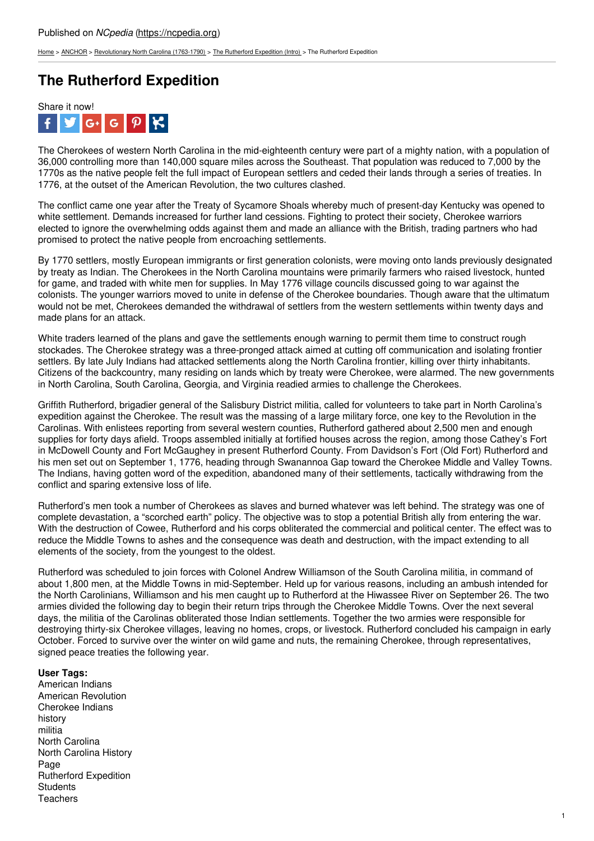[Home](https://ncpedia.org/) > [ANCHOR](https://ncpedia.org/anchor/anchor) > [Revolutionary](https://ncpedia.org/anchor/revolutionary-north-carolina) North Carolina (1763-1790) > The [Rutherford](https://ncpedia.org/anchor/rutherford-expedition-intro) Expedition (Intro) > The Rutherford Expedition

# **The Rutherford Expedition**



The Cherokees of western North Carolina in the mid-eighteenth century were part of a mighty nation, with a population of 36,000 controlling more than 140,000 square miles across the Southeast. That population was reduced to 7,000 by the 1770s as the native people felt the full impact of European settlers and ceded their lands through a series of treaties. In 1776, at the outset of the American Revolution, the two cultures clashed.

The conflict came one year after the Treaty of Sycamore Shoals whereby much of present-day Kentucky was opened to white settlement. Demands increased for further land cessions. Fighting to protect their society, Cherokee warriors elected to ignore the overwhelming odds against them and made an alliance with the British, trading partners who had promised to protect the native people from encroaching settlements.

By 1770 settlers, mostly European [immigrants](http://www.social9.com) or first generation colonists, were moving onto lands previously designated by treaty as Indian. The Cherokees in the North Carolina mountains were primarily farmers who raised livestock, hunted for game, and traded with white men for supplies. In May 1776 village councils discussed going to war against the colonists. The younger warriors moved to unite in defense of the Cherokee boundaries. Though aware that the ultimatum would not be met, Cherokees demanded the withdrawal of settlers from the western settlements within twenty days and made plans for an attack.

White traders learned of the plans and gave the settlements enough warning to permit them time to construct rough stockades. The Cherokee strategy was a three-pronged attack aimed at cutting off communication and isolating frontier settlers. By late July Indians had attacked settlements along the North Carolina frontier, killing over thirty inhabitants. Citizens of the backcountry, many residing on lands which by treaty were Cherokee, were alarmed. The new governments in North Carolina, South Carolina, Georgia, and Virginia readied armies to challenge the Cherokees.

Griffith Rutherford, brigadier general of the Salisbury District militia, called for volunteers to take part in North Carolina's expedition against the Cherokee. The result was the massing of a large military force, one key to the Revolution in the Carolinas. With enlistees reporting from several western counties, Rutherford gathered about 2,500 men and enough supplies for forty days afield. Troops assembled initially at fortified houses across the region, among those Cathey's Fort in McDowell County and Fort McGaughey in present Rutherford County. From Davidson's Fort (Old Fort) Rutherford and his men set out on September 1, 1776, heading through Swanannoa Gap toward the Cherokee Middle and Valley Towns. The Indians, having gotten word of the expedition, abandoned many of their settlements, tactically withdrawing from the conflict and sparing extensive loss of life.

Rutherford's men took a number of Cherokees as slaves and burned whatever was left behind. The strategy was one of complete devastation, a "scorched earth" policy. The objective was to stop a potential British ally from entering the war. With the destruction of Cowee, Rutherford and his corps obliterated the commercial and political center. The effect was to reduce the Middle Towns to ashes and the consequence was death and destruction, with the impact extending to all elements of the society, from the youngest to the oldest.

Rutherford was scheduled to join forces with Colonel Andrew Williamson of the South Carolina militia, in command of about 1,800 men, at the Middle Towns in mid-September. Held up for various reasons, including an ambush intended for the North Carolinians, Williamson and his men caught up to Rutherford at the Hiwassee River on September 26. The two armies divided the following day to begin their return trips through the Cherokee Middle Towns. Over the next several days, the militia of the Carolinas obliterated those Indian settlements. Together the two armies were responsible for destroying thirty-six Cherokee villages, leaving no homes, crops, or livestock. Rutherford concluded his campaign in early October. Forced to survive over the winter on wild game and nuts, the remaining Cherokee, through representatives, signed peace treaties the following year.

## **User Tags:**

American Indians American Revolution Cherokee Indians history militia North Carolina North Carolina History Page Rutherford Expedition **Students Teachers**